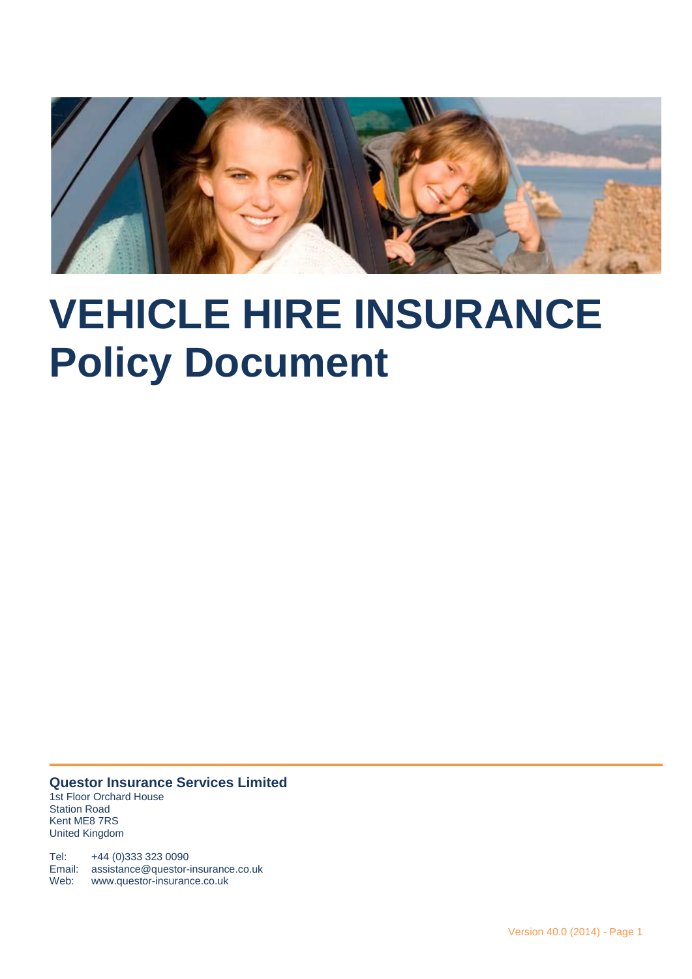

# **VEHICLE HIRE INSURANCE Policy Document**

**Questor Insurance Services Limited** 1st Floor Orchard House Station Road Kent ME8 7RS United Kingdom

Tel: +44 (0)333 323 0090 Email: assistance@questor-insurance.co.uk Web: www.questor-insurance.co.uk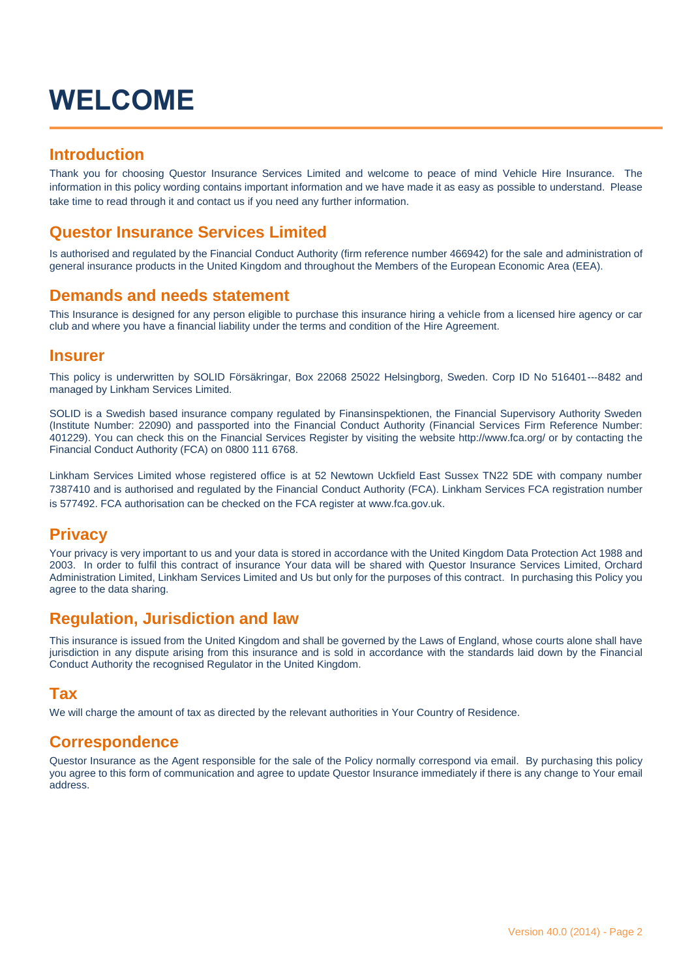## **WELCOME**

## **Introduction**

Thank you for choosing Questor Insurance Services Limited and welcome to peace of mind Vehicle Hire Insurance. The information in this policy wording contains important information and we have made it as easy as possible to understand. Please take time to read through it and contact us if you need any further information.

## **Questor Insurance Services Limited**

Is authorised and regulated by the Financial Conduct Authority (firm reference number 466942) for the sale and administration of general insurance products in the United Kingdom and throughout the Members of the European Economic Area (EEA).

### **Demands and needs statement**

This Insurance is designed for any person eligible to purchase this insurance hiring a vehicle from a licensed hire agency or car club and where you have a financial liability under the terms and condition of the Hire Agreement.

#### **Insurer**

This policy is underwritten by SOLID Försäkringar, Box 22068 25022 Helsingborg, Sweden. Corp ID No 516401--‐8482 and managed by Linkham Services Limited.

SOLID is a Swedish based insurance company regulated by Finansinspektionen, the Financial Supervisory Authority Sweden (Institute Number: 22090) and passported into the Financial Conduct Authority (Financial Services Firm Reference Number: 401229). You can check this on the Financial Services Register by visiting the website http://www.fca.org/ or by contacting the Financial Conduct Authority (FCA) on 0800 111 6768.

Linkham Services Limited whose registered office is at 52 Newtown Uckfield East Sussex TN22 5DE with company number 7387410 and is authorised and regulated by the Financial Conduct Authority (FCA). Linkham Services FCA registration number is 577492. FCA authorisation can be checked on the FCA register at www.fca.gov.uk.

### **Privacy**

Your privacy is very important to us and your data is stored in accordance with the United Kingdom Data Protection Act 1988 and 2003. In order to fulfil this contract of insurance Your data will be shared with Questor Insurance Services Limited, Orchard Administration Limited, Linkham Services Limited and Us but only for the purposes of this contract. In purchasing this Policy you agree to the data sharing.

## **Regulation, Jurisdiction and law**

This insurance is issued from the United Kingdom and shall be governed by the Laws of England, whose courts alone shall have jurisdiction in any dispute arising from this insurance and is sold in accordance with the standards laid down by the Financial Conduct Authority the recognised Regulator in the United Kingdom.

### **Tax**

We will charge the amount of tax as directed by the relevant authorities in Your Country of Residence.

### **Correspondence**

Questor Insurance as the Agent responsible for the sale of the Policy normally correspond via email. By purchasing this policy you agree to this form of communication and agree to update Questor Insurance immediately if there is any change to Your email address.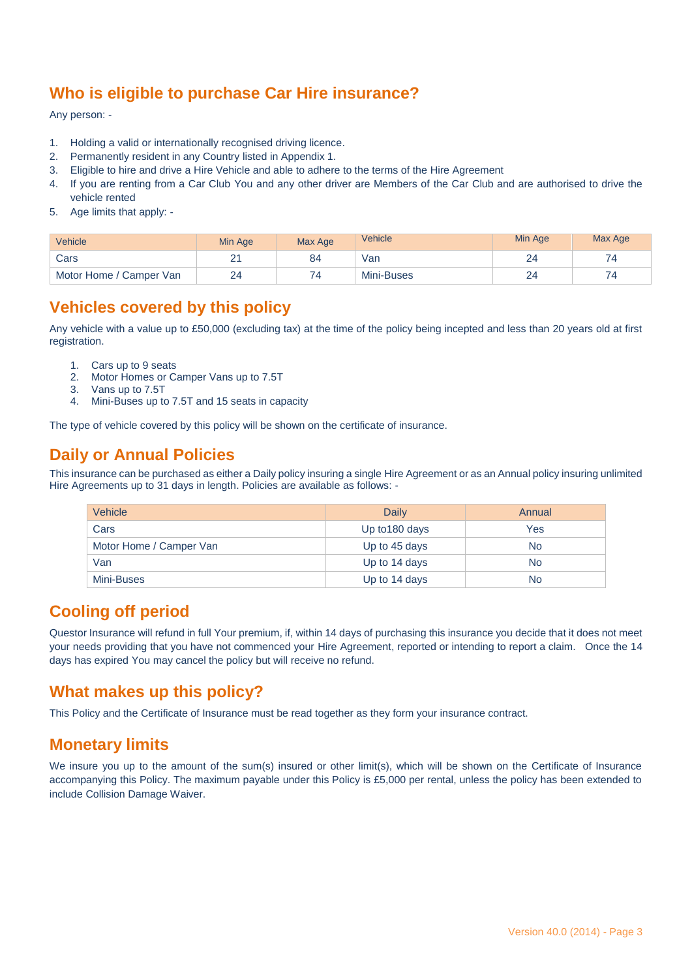## **Who is eligible to purchase Car Hire insurance?**

Any person: -

- 1. Holding a valid or internationally recognised driving licence.
- 2. Permanently resident in any Country listed in Appendix 1.
- 3. Eligible to hire and drive a Hire Vehicle and able to adhere to the terms of the Hire Agreement
- 4. If you are renting from a Car Club You and any other driver are Members of the Car Club and are authorised to drive the vehicle rented
- 5. Age limits that apply: -

| Vehicle                 | Min Age     | Max Age | Vehicle    | Min Age | Max Age |
|-------------------------|-------------|---------|------------|---------|---------|
| Cars                    | $\sim$<br>_ | 84      | Van        | _       | ۵4      |
| Motor Home / Camper Van | 24<br>--    | 74      | Mini-Buses |         | 74      |

## **Vehicles covered by this policy**

Any vehicle with a value up to £50,000 (excluding tax) at the time of the policy being incepted and less than 20 years old at first registration.

- 1. Cars up to 9 seats
- 2. Motor Homes or Camper Vans up to 7.5T
- 3. Vans up to 7.5T
- 4. Mini-Buses up to 7.5T and 15 seats in capacity

The type of vehicle covered by this policy will be shown on the certificate of insurance.

## **Daily or Annual Policies**

This insurance can be purchased as either a Daily policy insuring a single Hire Agreement or as an Annual policy insuring unlimited Hire Agreements up to 31 days in length. Policies are available as follows: -

| Vehicle                 | Daily          | Annual    |
|-------------------------|----------------|-----------|
| Cars                    | Up to 180 days | Yes       |
| Motor Home / Camper Van | Up to 45 days  | <b>No</b> |
| Van                     | Up to 14 days  | <b>No</b> |
| Mini-Buses              | Up to 14 days  | <b>No</b> |

## **Cooling off period**

Questor Insurance will refund in full Your premium, if, within 14 days of purchasing this insurance you decide that it does not meet your needs providing that you have not commenced your Hire Agreement, reported or intending to report a claim. Once the 14 days has expired You may cancel the policy but will receive no refund.

## **What makes up this policy?**

This Policy and the Certificate of Insurance must be read together as they form your insurance contract.

## **Monetary limits**

We insure you up to the amount of the sum(s) insured or other limit(s), which will be shown on the Certificate of Insurance accompanying this Policy. The maximum payable under this Policy is £5,000 per rental, unless the policy has been extended to include Collision Damage Waiver.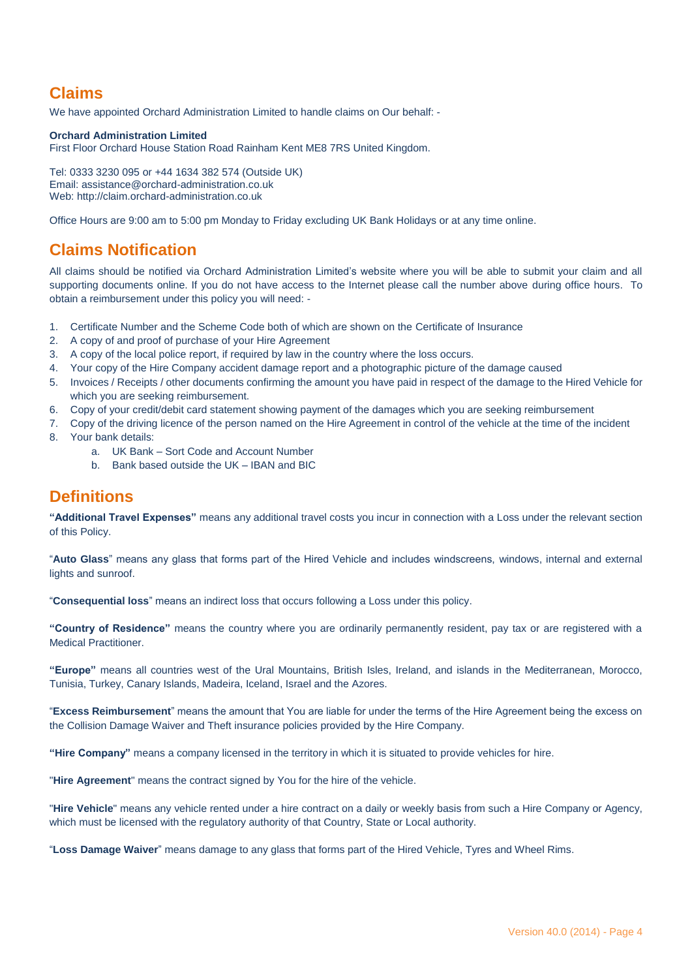## **Claims**

We have appointed Orchard Administration Limited to handle claims on Our behalf: -

#### **Orchard Administration Limited**

First Floor Orchard House Station Road Rainham Kent ME8 7RS United Kingdom.

Tel: 0333 3230 095 or +44 1634 382 574 (Outside UK) Email: assistance@orchard-administration.co.uk Web: http://claim.orchard-administration.co.uk

Office Hours are 9:00 am to 5:00 pm Monday to Friday excluding UK Bank Holidays or at any time online.

## **Claims Notification**

All claims should be notified via Orchard Administration Limited's website where you will be able to submit your claim and all supporting documents online. If you do not have access to the Internet please call the number above during office hours. To obtain a reimbursement under this policy you will need: -

- 1. Certificate Number and the Scheme Code both of which are shown on the Certificate of Insurance
- 2. A copy of and proof of purchase of your Hire Agreement
- 3. A copy of the local police report, if required by law in the country where the loss occurs.
- 4. Your copy of the Hire Company accident damage report and a photographic picture of the damage caused
- 5. Invoices / Receipts / other documents confirming the amount you have paid in respect of the damage to the Hired Vehicle for which you are seeking reimbursement.
- 6. Copy of your credit/debit card statement showing payment of the damages which you are seeking reimbursement
- 7. Copy of the driving licence of the person named on the Hire Agreement in control of the vehicle at the time of the incident
- Your bank details:
	- a. UK Bank Sort Code and Account Number
	- b. Bank based outside the UK IBAN and BIC

## **Definitions**

**"Additional Travel Expenses"** means any additional travel costs you incur in connection with a Loss under the relevant section of this Policy.

"**Auto Glass**" means any glass that forms part of the Hired Vehicle and includes windscreens, windows, internal and external lights and sunroof.

"**Consequential loss**" means an indirect loss that occurs following a Loss under this policy.

**"Country of Residence"** means the country where you are ordinarily permanently resident, pay tax or are registered with a Medical Practitioner.

**"Europe"** means all countries west of the Ural Mountains, British Isles, Ireland, and islands in the Mediterranean, Morocco, Tunisia, Turkey, Canary Islands, Madeira, Iceland, Israel and the Azores.

"**Excess Reimbursement**" means the amount that You are liable for under the terms of the Hire Agreement being the excess on the Collision Damage Waiver and Theft insurance policies provided by the Hire Company.

**"Hire Company"** means a company licensed in the territory in which it is situated to provide vehicles for hire.

"**Hire Agreement**" means the contract signed by You for the hire of the vehicle.

"**Hire Vehicle**" means any vehicle rented under a hire contract on a daily or weekly basis from such a Hire Company or Agency, which must be licensed with the regulatory authority of that Country, State or Local authority.

"**Loss Damage Waiver**" means damage to any glass that forms part of the Hired Vehicle, Tyres and Wheel Rims.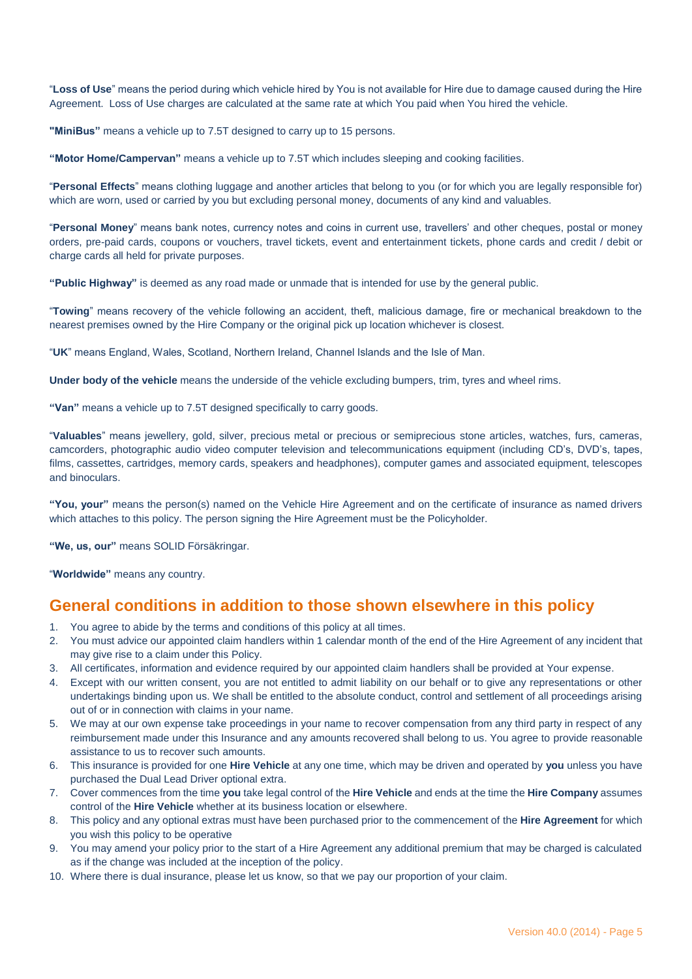"**Loss of Use**" means the period during which vehicle hired by You is not available for Hire due to damage caused during the Hire Agreement. Loss of Use charges are calculated at the same rate at which You paid when You hired the vehicle.

**"MiniBus"** means a vehicle up to 7.5T designed to carry up to 15 persons.

**"Motor Home/Campervan"** means a vehicle up to 7.5T which includes sleeping and cooking facilities.

"**Personal Effects**" means clothing luggage and another articles that belong to you (or for which you are legally responsible for) which are worn, used or carried by you but excluding personal money, documents of any kind and valuables.

"**Personal Money**" means bank notes, currency notes and coins in current use, travellers' and other cheques, postal or money orders, pre-paid cards, coupons or vouchers, travel tickets, event and entertainment tickets, phone cards and credit / debit or charge cards all held for private purposes.

**"Public Highway"** is deemed as any road made or unmade that is intended for use by the general public.

"**Towing**" means recovery of the vehicle following an accident, theft, malicious damage, fire or mechanical breakdown to the nearest premises owned by the Hire Company or the original pick up location whichever is closest.

"**UK**" means England, Wales, Scotland, Northern Ireland, Channel Islands and the Isle of Man.

**Under body of the vehicle** means the underside of the vehicle excluding bumpers, trim, tyres and wheel rims.

**"Van"** means a vehicle up to 7.5T designed specifically to carry goods.

"**Valuables**" means jewellery, gold, silver, precious metal or precious or semiprecious stone articles, watches, furs, cameras, camcorders, photographic audio video computer television and telecommunications equipment (including CD's, DVD's, tapes, films, cassettes, cartridges, memory cards, speakers and headphones), computer games and associated equipment, telescopes and binoculars.

**"You, your"** means the person(s) named on the Vehicle Hire Agreement and on the certificate of insurance as named drivers which attaches to this policy. The person signing the Hire Agreement must be the Policyholder.

**"We, us, our"** means SOLID Försäkringar.

"**Worldwide"** means any country.

#### **General conditions in addition to those shown elsewhere in this policy**

- 1. You agree to abide by the terms and conditions of this policy at all times.
- 2. You must advice our appointed claim handlers within 1 calendar month of the end of the Hire Agreement of any incident that may give rise to a claim under this Policy.
- 3. All certificates, information and evidence required by our appointed claim handlers shall be provided at Your expense.
- 4. Except with our written consent, you are not entitled to admit liability on our behalf or to give any representations or other undertakings binding upon us. We shall be entitled to the absolute conduct, control and settlement of all proceedings arising out of or in connection with claims in your name.
- 5. We may at our own expense take proceedings in your name to recover compensation from any third party in respect of any reimbursement made under this Insurance and any amounts recovered shall belong to us. You agree to provide reasonable assistance to us to recover such amounts.
- 6. This insurance is provided for one **Hire Vehicle** at any one time, which may be driven and operated by **you** unless you have purchased the Dual Lead Driver optional extra.
- 7. Cover commences from the time **you** take legal control of the **Hire Vehicle** and ends at the time the **Hire Company** assumes control of the **Hire Vehicle** whether at its business location or elsewhere.
- 8. This policy and any optional extras must have been purchased prior to the commencement of the **Hire Agreement** for which you wish this policy to be operative
- 9. You may amend your policy prior to the start of a Hire Agreement any additional premium that may be charged is calculated as if the change was included at the inception of the policy.
- 10. Where there is dual insurance, please let us know, so that we pay our proportion of your claim.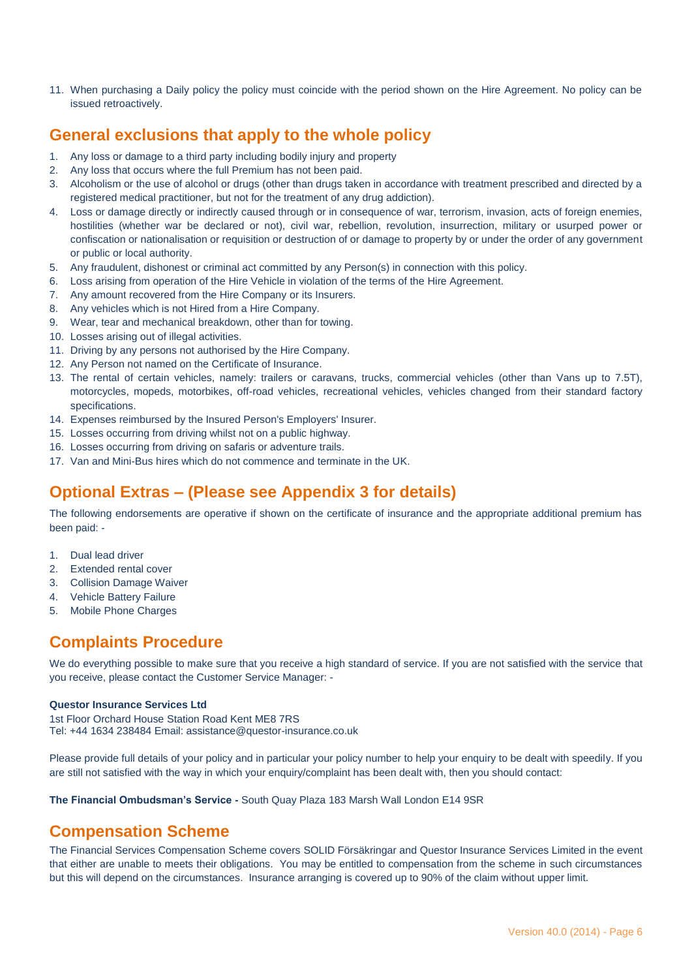11. When purchasing a Daily policy the policy must coincide with the period shown on the Hire Agreement. No policy can be issued retroactively.

## **General exclusions that apply to the whole policy**

- 1. Any loss or damage to a third party including bodily injury and property
- 2. Any loss that occurs where the full Premium has not been paid.
- 3. Alcoholism or the use of alcohol or drugs (other than drugs taken in accordance with treatment prescribed and directed by a registered medical practitioner, but not for the treatment of any drug addiction).
- 4. Loss or damage directly or indirectly caused through or in consequence of war, terrorism, invasion, acts of foreign enemies, hostilities (whether war be declared or not), civil war, rebellion, revolution, insurrection, military or usurped power or confiscation or nationalisation or requisition or destruction of or damage to property by or under the order of any government or public or local authority.
- 5. Any fraudulent, dishonest or criminal act committed by any Person(s) in connection with this policy.
- 6. Loss arising from operation of the Hire Vehicle in violation of the terms of the Hire Agreement.
- 7. Any amount recovered from the Hire Company or its Insurers.
- 8. Any vehicles which is not Hired from a Hire Company.
- 9. Wear, tear and mechanical breakdown, other than for towing.
- 10. Losses arising out of illegal activities.
- 11. Driving by any persons not authorised by the Hire Company.
- 12. Any Person not named on the Certificate of Insurance.
- 13. The rental of certain vehicles, namely: trailers or caravans, trucks, commercial vehicles (other than Vans up to 7.5T), motorcycles, mopeds, motorbikes, off-road vehicles, recreational vehicles, vehicles changed from their standard factory specifications.
- 14. Expenses reimbursed by the Insured Person's Employers' Insurer.
- 15. Losses occurring from driving whilst not on a public highway.
- 16. Losses occurring from driving on safaris or adventure trails.
- 17. Van and Mini-Bus hires which do not commence and terminate in the UK.

## **Optional Extras – (Please see Appendix 3 for details)**

The following endorsements are operative if shown on the certificate of insurance and the appropriate additional premium has been paid: -

- 1. Dual lead driver
- 2. Extended rental cover
- 3. Collision Damage Waiver
- 4. Vehicle Battery Failure
- 5. Mobile Phone Charges

## **Complaints Procedure**

We do everything possible to make sure that you receive a high standard of service. If you are not satisfied with the service that you receive, please contact the Customer Service Manager: -

#### **Questor Insurance Services Ltd**

1st Floor Orchard House Station Road Kent ME8 7RS Tel: +44 1634 238484 Email: assistance@questor-insurance.co.uk

Please provide full details of your policy and in particular your policy number to help your enquiry to be dealt with speedily. If you are still not satisfied with the way in which your enquiry/complaint has been dealt with, then you should contact:

**The Financial Ombudsman's Service -** South Quay Plaza 183 Marsh Wall London E14 9SR

#### **Compensation Scheme**

The Financial Services Compensation Scheme covers SOLID Försäkringar and Questor Insurance Services Limited in the event that either are unable to meets their obligations. You may be entitled to compensation from the scheme in such circumstances but this will depend on the circumstances. Insurance arranging is covered up to 90% of the claim without upper limit.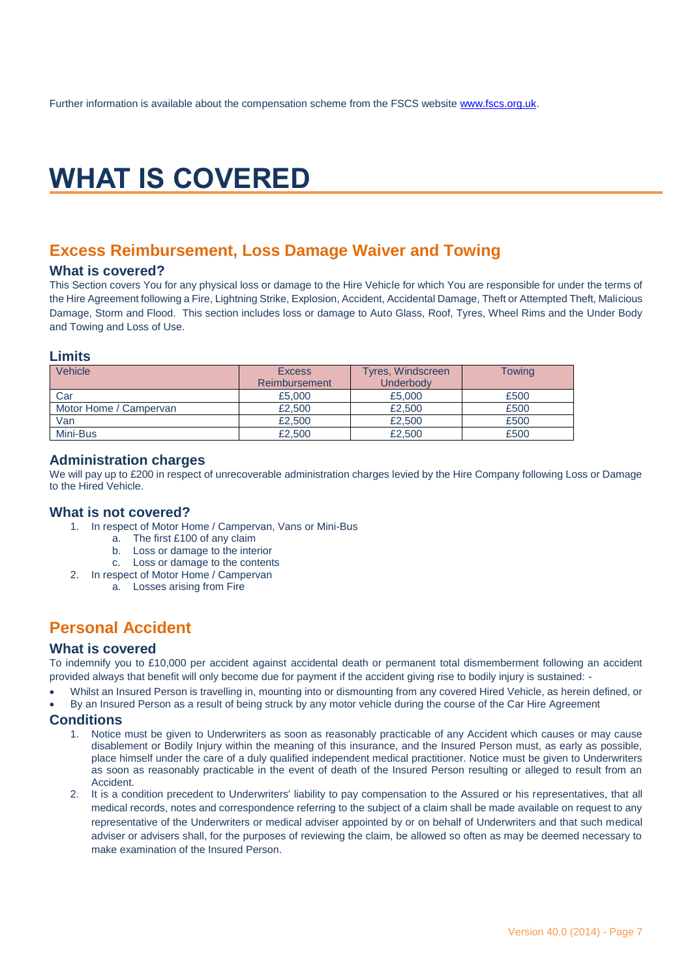## **WHAT IS COVERED**

## **Excess Reimbursement, Loss Damage Waiver and Towing**

#### **What is covered?**

This Section covers You for any physical loss or damage to the Hire Vehicle for which You are responsible for under the terms of the Hire Agreement following a Fire, Lightning Strike, Explosion, Accident, Accidental Damage, Theft or Attempted Theft, Malicious Damage, Storm and Flood. This section includes loss or damage to Auto Glass, Roof, Tyres, Wheel Rims and the Under Body and Towing and Loss of Use.

#### **Limits**

| Vehicle                | <b>Excess</b><br>Reimbursement | Tyres, Windscreen<br>Underbody | Towing |
|------------------------|--------------------------------|--------------------------------|--------|
|                        |                                |                                |        |
| Car                    | £5,000                         | £5,000                         | £500   |
| Motor Home / Campervan | £2,500                         | £2,500                         | £500   |
| Van                    | £2,500                         | £2,500                         | £500   |
| Mini-Bus               | £2,500                         | £2,500                         | £500   |

#### **Administration charges**

We will pay up to £200 in respect of unrecoverable administration charges levied by the Hire Company following Loss or Damage to the Hired Vehicle.

#### **What is not covered?**

- 1. In respect of Motor Home / Campervan, Vans or Mini-Bus
	- a. The first £100 of any claim
	- b. Loss or damage to the interior
	- c. Loss or damage to the contents
- 2. In respect of Motor Home / Campervan
	- a. Losses arising from Fire

## **Personal Accident**

#### **What is covered**

To indemnify you to £10,000 per accident against accidental death or permanent total dismemberment following an accident provided always that benefit will only become due for payment if the accident giving rise to bodily injury is sustained: -

- Whilst an Insured Person is travelling in, mounting into or dismounting from any covered Hired Vehicle, as herein defined, or
- By an Insured Person as a result of being struck by any motor vehicle during the course of the Car Hire Agreement

#### **Conditions**

- 1. Notice must be given to Underwriters as soon as reasonably practicable of any Accident which causes or may cause disablement or Bodily Injury within the meaning of this insurance, and the Insured Person must, as early as possible, place himself under the care of a duly qualified independent medical practitioner. Notice must be given to Underwriters as soon as reasonably practicable in the event of death of the Insured Person resulting or alleged to result from an Accident.
- 2. It is a condition precedent to Underwriters' liability to pay compensation to the Assured or his representatives, that all medical records, notes and correspondence referring to the subject of a claim shall be made available on request to any representative of the Underwriters or medical adviser appointed by or on behalf of Underwriters and that such medical adviser or advisers shall, for the purposes of reviewing the claim, be allowed so often as may be deemed necessary to make examination of the Insured Person.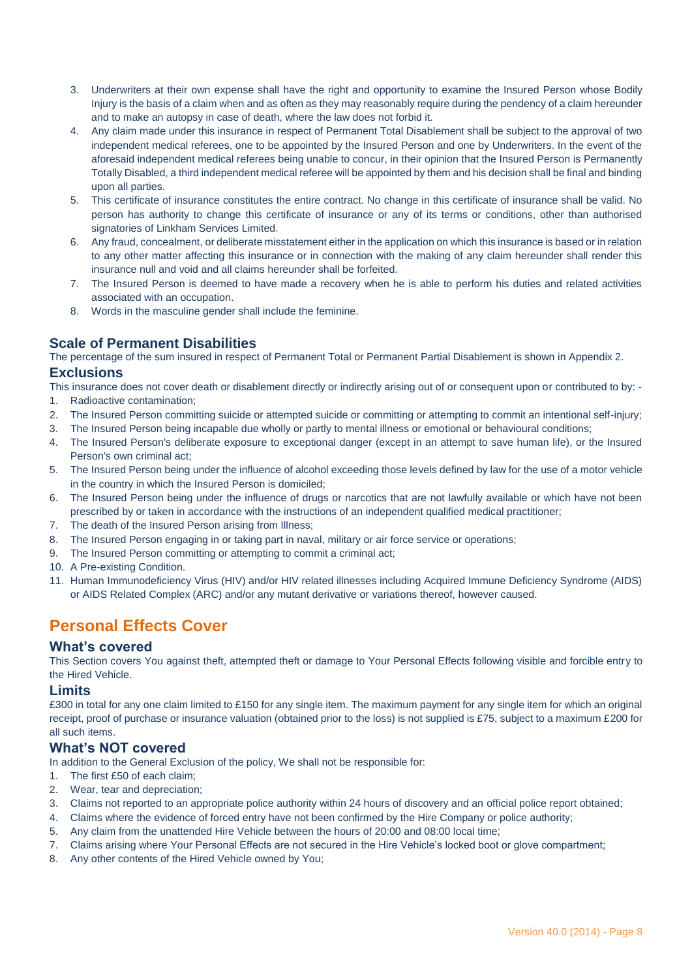- 3. Underwriters at their own expense shall have the right and opportunity to examine the Insured Person whose Bodily Injury is the basis of a claim when and as often as they may reasonably require during the pendency of a claim hereunder and to make an autopsy in case of death, where the law does not forbid it.
- 4. Any claim made under this insurance in respect of Permanent Total Disablement shall be subject to the approval of two independent medical referees, one to be appointed by the Insured Person and one by Underwriters. In the event of the aforesaid independent medical referees being unable to concur, in their opinion that the Insured Person is Permanently Totally Disabled, a third independent medical referee will be appointed by them and his decision shall be final and binding upon all parties.
- 5. This certificate of insurance constitutes the entire contract. No change in this certificate of insurance shall be valid. No person has authority to change this certificate of insurance or any of its terms or conditions, other than authorised signatories of Linkham Services Limited.
- 6. Any fraud, concealment, or deliberate misstatement either in the application on which this insurance is based or in relation to any other matter affecting this insurance or in connection with the making of any claim hereunder shall render this insurance null and void and all claims hereunder shall be forfeited.
- 7. The Insured Person is deemed to have made a recovery when he is able to perform his duties and related activities associated with an occupation.
- 8. Words in the masculine gender shall include the feminine.

#### **Scale of Permanent Disabilities**

The percentage of the sum insured in respect of Permanent Total or Permanent Partial Disablement is shown in Appendix 2.

#### **Exclusions**

This insurance does not cover death or disablement directly or indirectly arising out of or consequent upon or contributed to by: -

- 1. Radioactive contamination;
- 2. The Insured Person committing suicide or attempted suicide or committing or attempting to commit an intentional self-injury;
- 3. The Insured Person being incapable due wholly or partly to mental illness or emotional or behavioural conditions;
- 4. The Insured Person's deliberate exposure to exceptional danger (except in an attempt to save human life), or the Insured Person's own criminal act;
- 5. The Insured Person being under the influence of alcohol exceeding those levels defined by law for the use of a motor vehicle in the country in which the Insured Person is domiciled;
- 6. The Insured Person being under the influence of drugs or narcotics that are not lawfully available or which have not been prescribed by or taken in accordance with the instructions of an independent qualified medical practitioner;
- 7. The death of the Insured Person arising from Illness;
- 8. The Insured Person engaging in or taking part in naval, military or air force service or operations;
- 9. The Insured Person committing or attempting to commit a criminal act;
- 10. A Pre-existing Condition.
- 11. Human Immunodeficiency Virus (HIV) and/or HIV related illnesses including Acquired Immune Deficiency Syndrome (AIDS) or AIDS Related Complex (ARC) and/or any mutant derivative or variations thereof, however caused.

## **Personal Effects Cover**

#### **What's covered**

This Section covers You against theft, attempted theft or damage to Your Personal Effects following visible and forcible entry to the Hired Vehicle.

#### **Limits**

£300 in total for any one claim limited to £150 for any single item. The maximum payment for any single item for which an original receipt, proof of purchase or insurance valuation (obtained prior to the loss) is not supplied is £75, subject to a maximum £200 for all such items.

#### **What's NOT covered**

In addition to the General Exclusion of the policy, We shall not be responsible for:

- 1. The first £50 of each claim;
- 2. Wear, tear and depreciation;
- 3. Claims not reported to an appropriate police authority within 24 hours of discovery and an official police report obtained;
- 4. Claims where the evidence of forced entry have not been confirmed by the Hire Company or police authority;
- 5. Any claim from the unattended Hire Vehicle between the hours of 20:00 and 08:00 local time;
- 7. Claims arising where Your Personal Effects are not secured in the Hire Vehicle's locked boot or glove compartment;
- 8. Any other contents of the Hired Vehicle owned by You;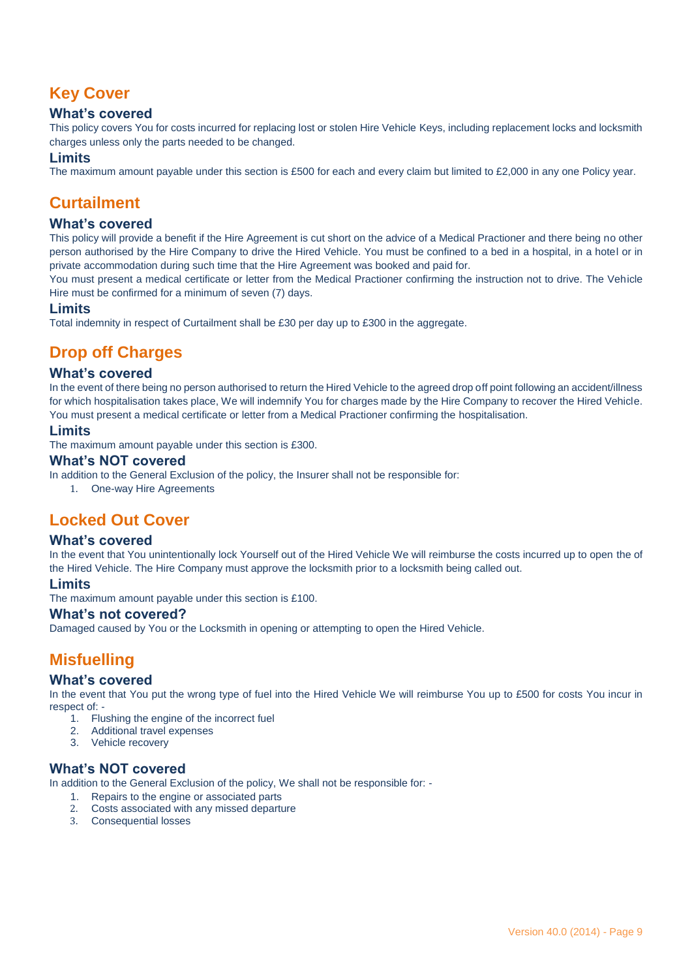## **Key Cover**

#### **What's covered**

This policy covers You for costs incurred for replacing lost or stolen Hire Vehicle Keys, including replacement locks and locksmith charges unless only the parts needed to be changed.

#### **Limits**

The maximum amount payable under this section is £500 for each and every claim but limited to £2,000 in any one Policy year.

## **Curtailment**

#### **What's covered**

This policy will provide a benefit if the Hire Agreement is cut short on the advice of a Medical Practioner and there being no other person authorised by the Hire Company to drive the Hired Vehicle. You must be confined to a bed in a hospital, in a hotel or in private accommodation during such time that the Hire Agreement was booked and paid for.

You must present a medical certificate or letter from the Medical Practioner confirming the instruction not to drive. The Vehicle Hire must be confirmed for a minimum of seven (7) days.

#### **Limits**

Total indemnity in respect of Curtailment shall be £30 per day up to £300 in the aggregate.

## **Drop off Charges**

#### **What's covered**

In the event of there being no person authorised to return the Hired Vehicle to the agreed drop off point following an accident/illness for which hospitalisation takes place, We will indemnify You for charges made by the Hire Company to recover the Hired Vehicle. You must present a medical certificate or letter from a Medical Practioner confirming the hospitalisation.

#### **Limits**

The maximum amount payable under this section is £300.

#### **What's NOT covered**

In addition to the General Exclusion of the policy, the Insurer shall not be responsible for:

1. One-way Hire Agreements

## **Locked Out Cover**

#### **What's covered**

In the event that You unintentionally lock Yourself out of the Hired Vehicle We will reimburse the costs incurred up to open the of the Hired Vehicle. The Hire Company must approve the locksmith prior to a locksmith being called out.

#### **Limits**

The maximum amount payable under this section is £100.

#### **What's not covered?**

Damaged caused by You or the Locksmith in opening or attempting to open the Hired Vehicle.

## **Misfuelling**

#### **What's covered**

In the event that You put the wrong type of fuel into the Hired Vehicle We will reimburse You up to £500 for costs You incur in respect of: -

- 1. Flushing the engine of the incorrect fuel
- 2. Additional travel expenses
- 3. Vehicle recovery

#### **What's NOT covered**

In addition to the General Exclusion of the policy, We shall not be responsible for: -

- 1. Repairs to the engine or associated parts
- 2. Costs associated with any missed departure
- 3. Consequential losses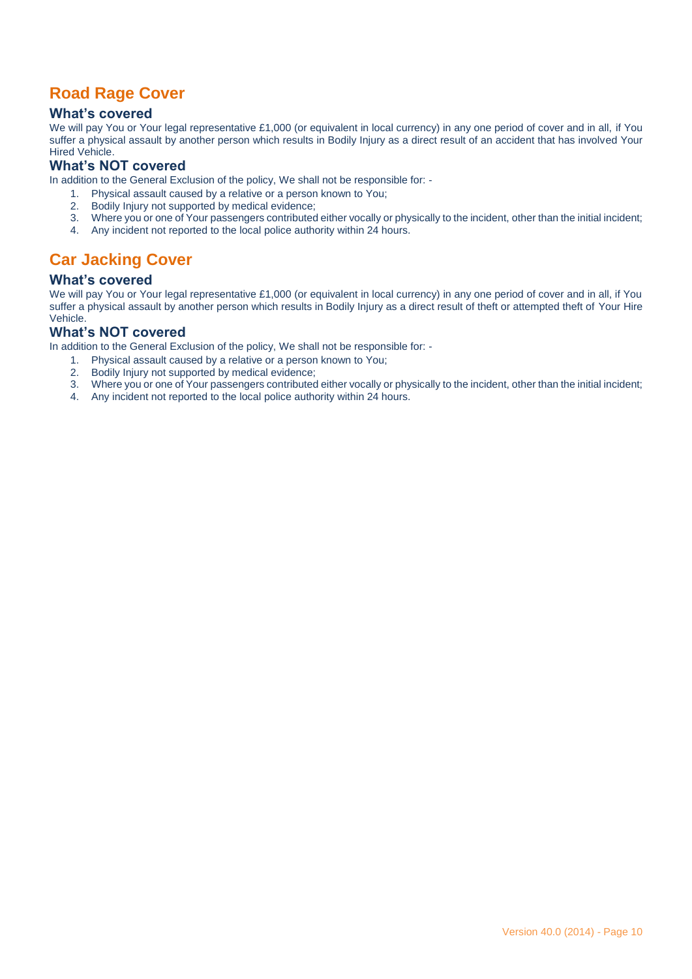## **Road Rage Cover**

#### **What's covered**

We will pay You or Your legal representative £1,000 (or equivalent in local currency) in any one period of cover and in all, if You suffer a physical assault by another person which results in Bodily Injury as a direct result of an accident that has involved Your Hired Vehicle.

#### **What's NOT covered**

In addition to the General Exclusion of the policy, We shall not be responsible for: -

- 1. Physical assault caused by a relative or a person known to You;
- 2. Bodily Injury not supported by medical evidence;
- 3. Where you or one of Your passengers contributed either vocally or physically to the incident, other than the initial incident;
- 4. Any incident not reported to the local police authority within 24 hours.

## **Car Jacking Cover**

#### **What's covered**

We will pay You or Your legal representative £1,000 (or equivalent in local currency) in any one period of cover and in all, if You suffer a physical assault by another person which results in Bodily Injury as a direct result of theft or attempted theft of Your Hire Vehicle.

#### **What's NOT covered**

In addition to the General Exclusion of the policy, We shall not be responsible for: -

- 1. Physical assault caused by a relative or a person known to You;<br>2. Bodily Injury not supported by medical evidence;<br>3. Where you or one of Your passengers contributed either yocally o
- Bodily Injury not supported by medical evidence;
- 3. Where you or one of Your passengers contributed either vocally or physically to the incident, other than the initial incident;
- 4. Any incident not reported to the local police authority within 24 hours.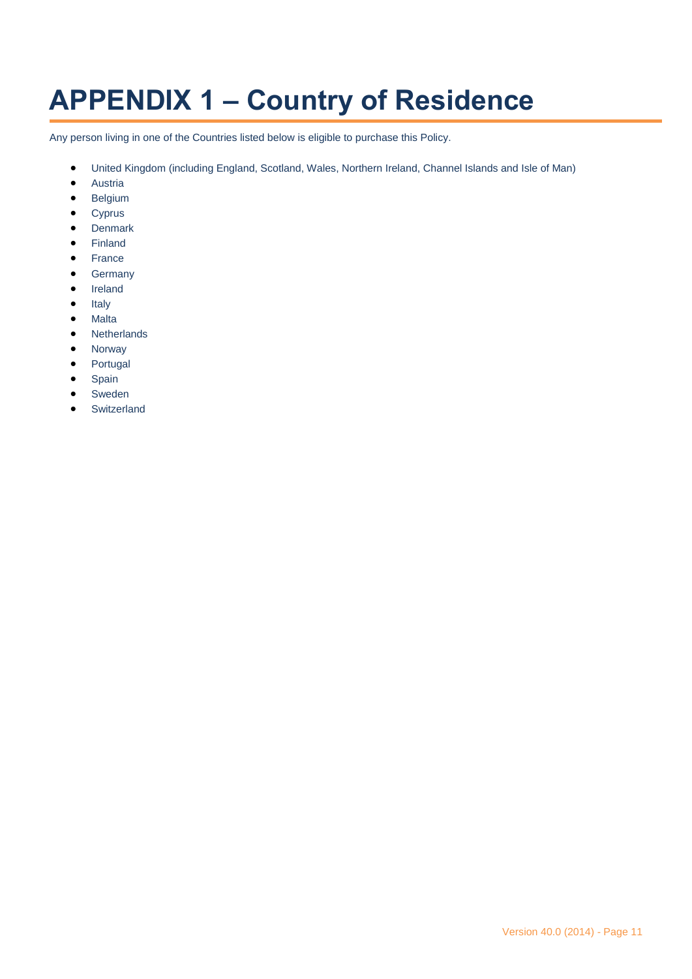## **APPENDIX 1 – Country of Residence**

Any person living in one of the Countries listed below is eligible to purchase this Policy.

- United Kingdom (including England, Scotland, Wales, Northern Ireland, Channel Islands and Isle of Man)
- **•** Austria
- **•** Belgium
- Cyprus
- **•** Denmark
- Finland
- France
- **•** Germany
- Ireland
- $\bullet$  Italy
- Malta
- Netherlands
- Norway
- Portugal
- Spain
- Sweden
- **•** Switzerland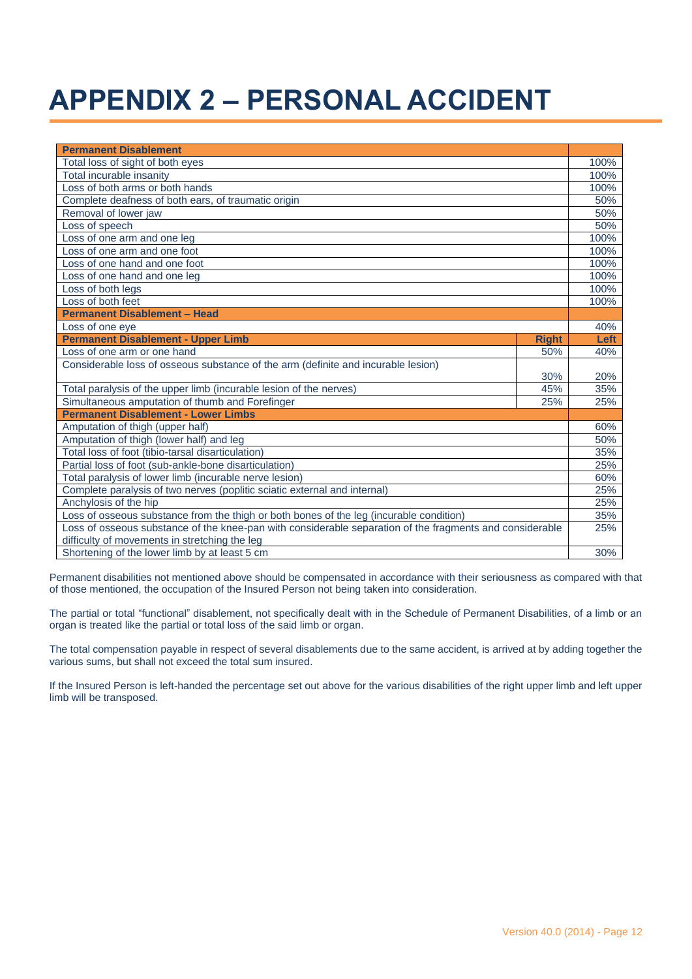## **APPENDIX 2 – PERSONAL ACCIDENT**

| <b>Permanent Disablement</b>                                                                                                                              |            |  |  |  |
|-----------------------------------------------------------------------------------------------------------------------------------------------------------|------------|--|--|--|
| Total loss of sight of both eyes                                                                                                                          |            |  |  |  |
| Total incurable insanity                                                                                                                                  |            |  |  |  |
| Loss of both arms or both hands                                                                                                                           |            |  |  |  |
| Complete deafness of both ears, of traumatic origin                                                                                                       |            |  |  |  |
| Removal of lower jaw                                                                                                                                      |            |  |  |  |
| Loss of speech                                                                                                                                            |            |  |  |  |
| Loss of one arm and one leg                                                                                                                               |            |  |  |  |
| Loss of one arm and one foot                                                                                                                              |            |  |  |  |
| Loss of one hand and one foot                                                                                                                             | 100%       |  |  |  |
| Loss of one hand and one leg                                                                                                                              |            |  |  |  |
| Loss of both legs                                                                                                                                         |            |  |  |  |
| Loss of both feet                                                                                                                                         |            |  |  |  |
| <b>Permanent Disablement - Head</b>                                                                                                                       |            |  |  |  |
| Loss of one eye                                                                                                                                           | 40%        |  |  |  |
| <b>Permanent Disablement - Upper Limb</b><br><b>Right</b>                                                                                                 | Left       |  |  |  |
| Loss of one arm or one hand<br>50%                                                                                                                        | 40%        |  |  |  |
| Considerable loss of osseous substance of the arm (definite and incurable lesion)                                                                         |            |  |  |  |
| 30%                                                                                                                                                       | 20%<br>35% |  |  |  |
| Total paralysis of the upper limb (incurable lesion of the nerves)<br>45%                                                                                 |            |  |  |  |
| Simultaneous amputation of thumb and Forefinger<br>25%                                                                                                    |            |  |  |  |
| <b>Permanent Disablement - Lower Limbs</b>                                                                                                                |            |  |  |  |
| Amputation of thigh (upper half)                                                                                                                          |            |  |  |  |
| Amputation of thigh (lower half) and leg                                                                                                                  |            |  |  |  |
| Total loss of foot (tibio-tarsal disarticulation)                                                                                                         |            |  |  |  |
| Partial loss of foot (sub-ankle-bone disarticulation)                                                                                                     |            |  |  |  |
| Total paralysis of lower limb (incurable nerve lesion)                                                                                                    |            |  |  |  |
| Complete paralysis of two nerves (poplitic sciatic external and internal)                                                                                 |            |  |  |  |
| Anchylosis of the hip                                                                                                                                     |            |  |  |  |
| Loss of osseous substance from the thigh or both bones of the leg (incurable condition)                                                                   |            |  |  |  |
| Loss of osseous substance of the knee-pan with considerable separation of the fragments and considerable<br>difficulty of movements in stretching the leg |            |  |  |  |
| Shortening of the lower limb by at least 5 cm                                                                                                             |            |  |  |  |

Permanent disabilities not mentioned above should be compensated in accordance with their seriousness as compared with that of those mentioned, the occupation of the Insured Person not being taken into consideration.

The partial or total "functional" disablement, not specifically dealt with in the Schedule of Permanent Disabilities, of a limb or an organ is treated like the partial or total loss of the said limb or organ.

The total compensation payable in respect of several disablements due to the same accident, is arrived at by adding together the various sums, but shall not exceed the total sum insured.

If the Insured Person is left-handed the percentage set out above for the various disabilities of the right upper limb and left upper limb will be transposed.